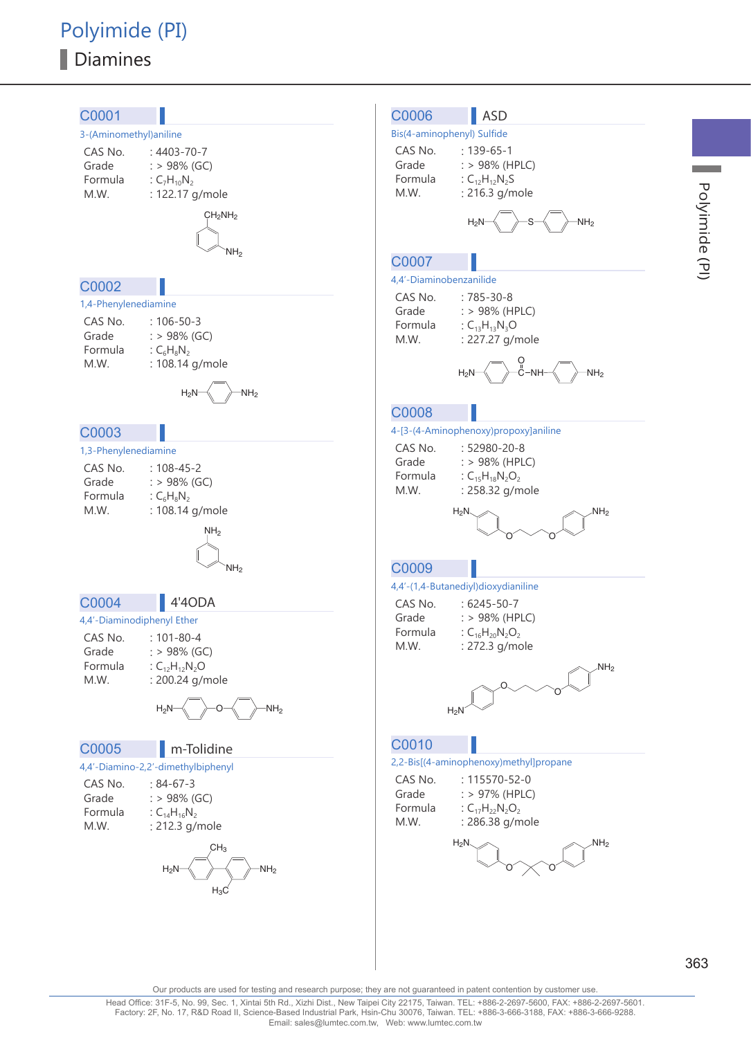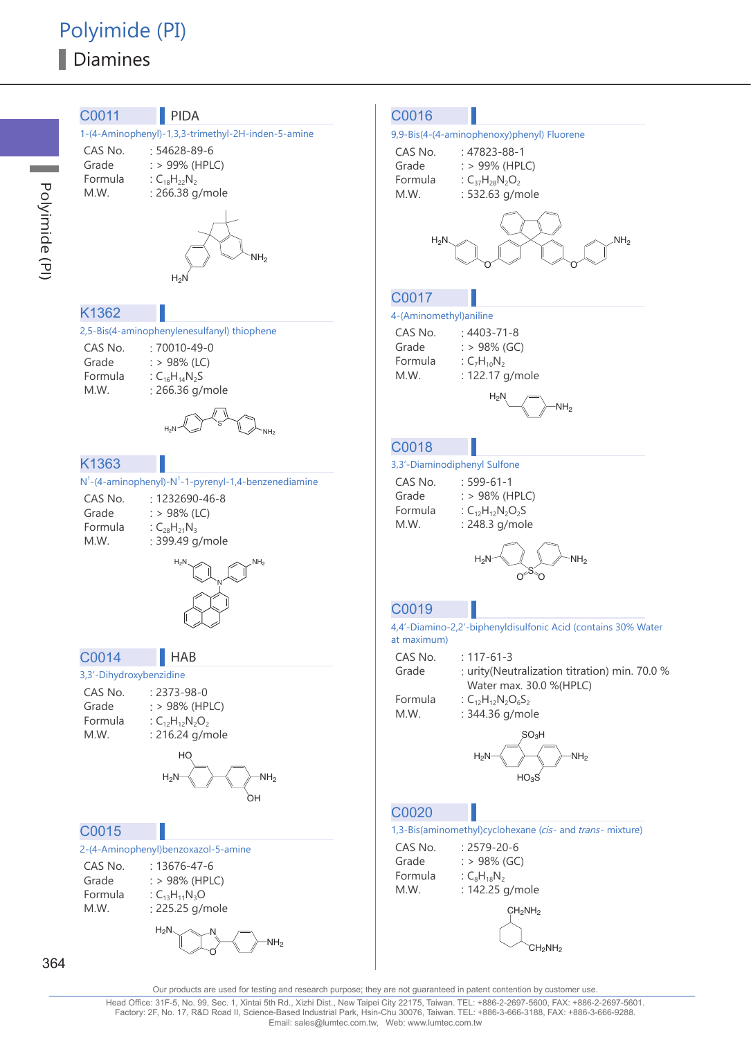Polyimide (PI)



Our products are used for testing and research purpose; they are not guaranteed in patent contention by customer use

364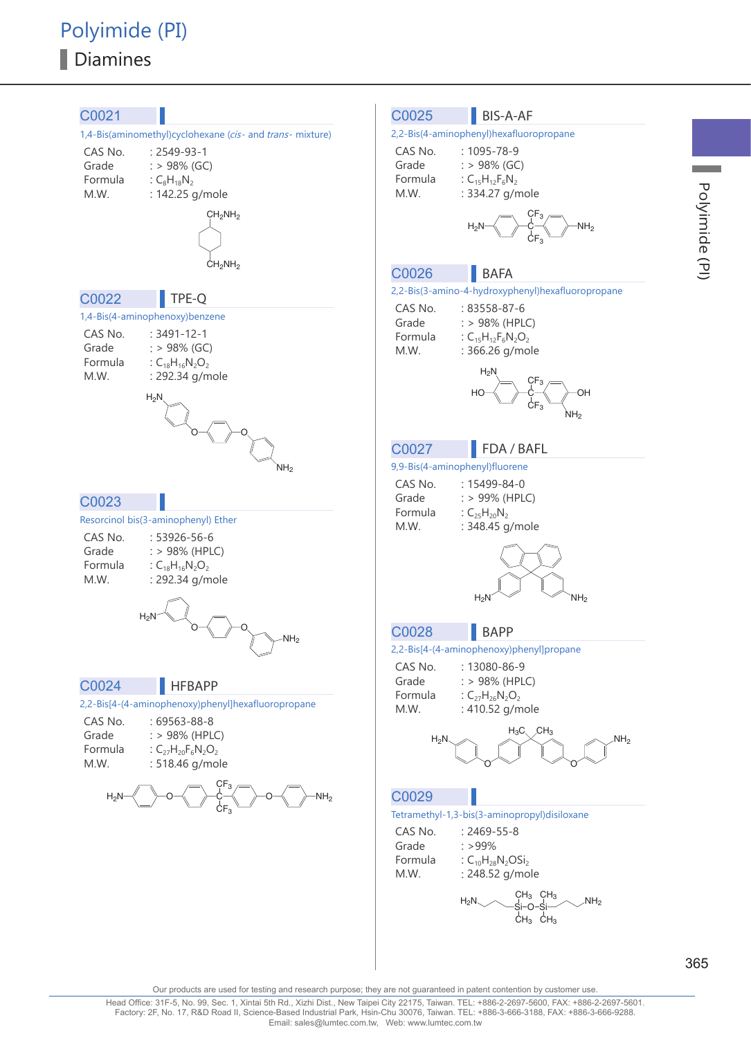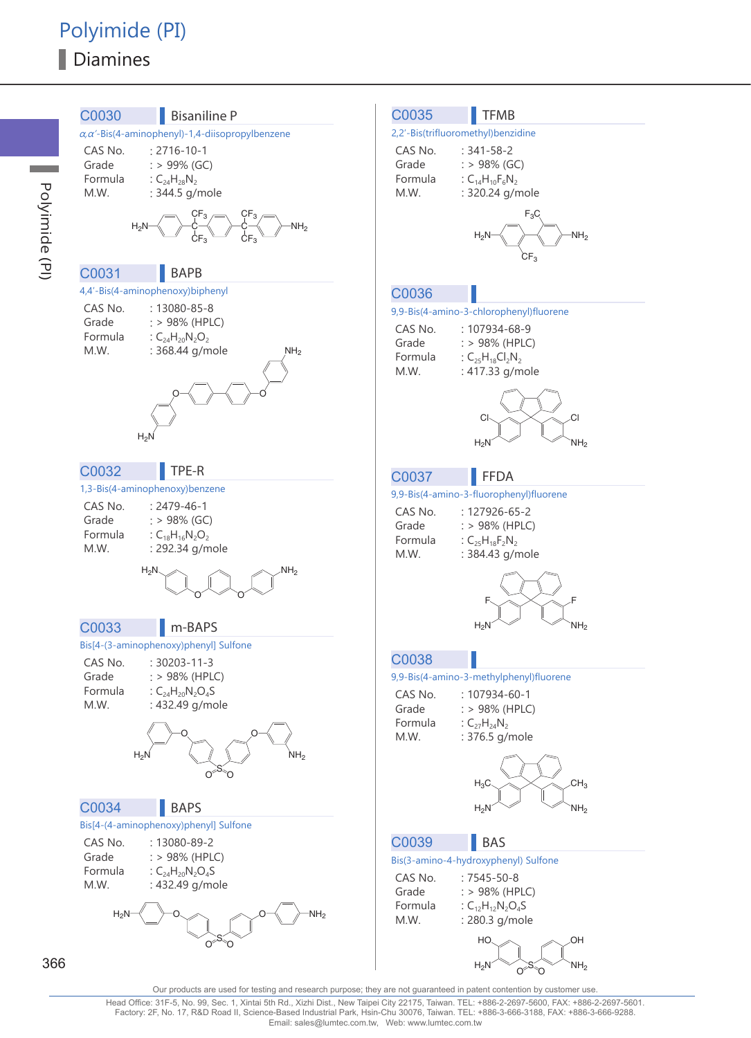

Head Office: 31F-5, No. 99, Sec. 1, Xintai 5th Rd., Xizhi Dist., New Taipei City 22175, Taiwan. TEL: +886-2-2697-5600, FAX: +886-2-2697-5601. Factory: 2F, No. 17, R&D Road II, Science-Based Industrial Park, Hsin-Chu 30076, Taiwan. TEL: +886-3-666-3188, FAX: +886-3-666-9288. Email: sales@lumtec.com.tw, Web: www.lumtec.com.tw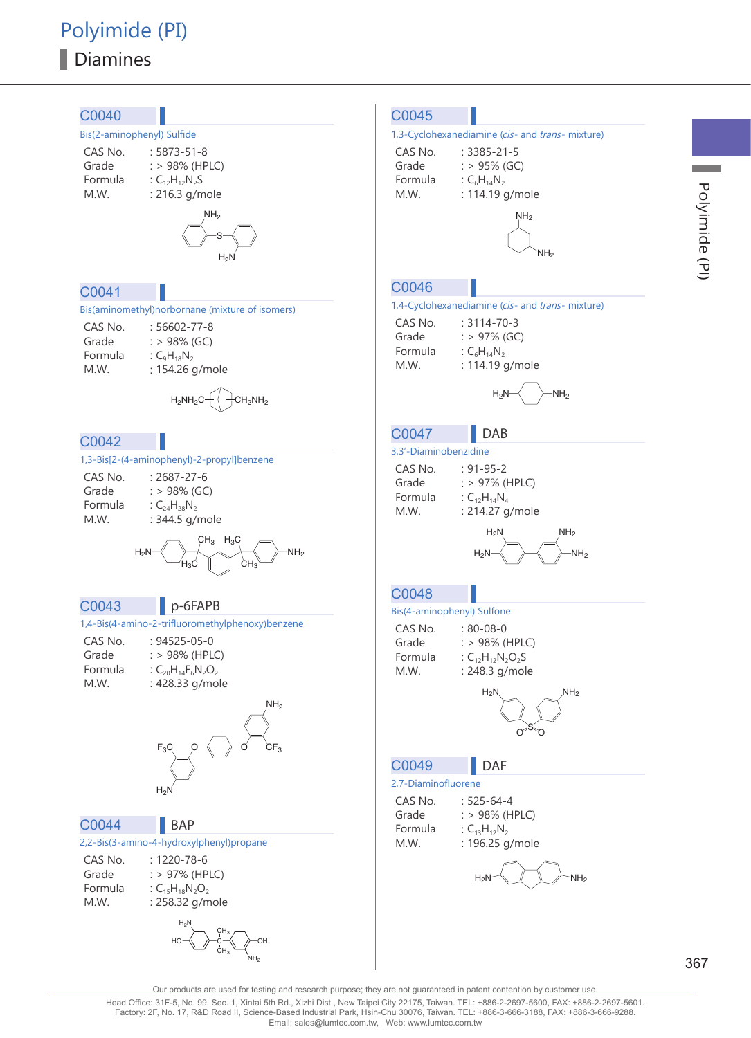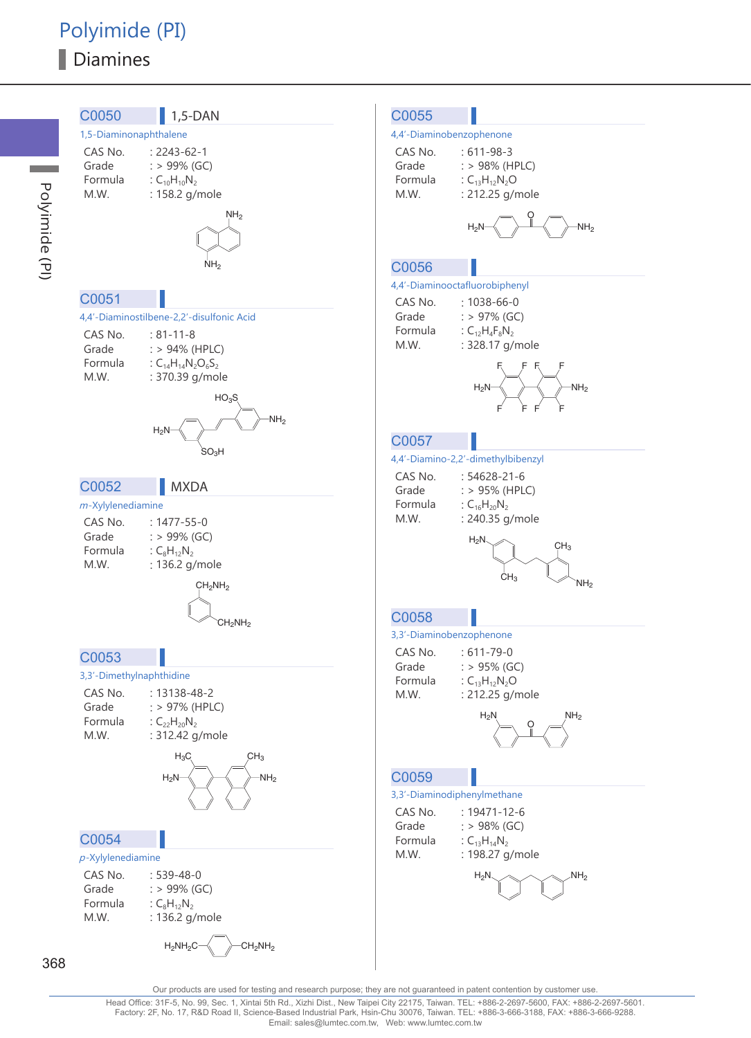

Polyimide (PI)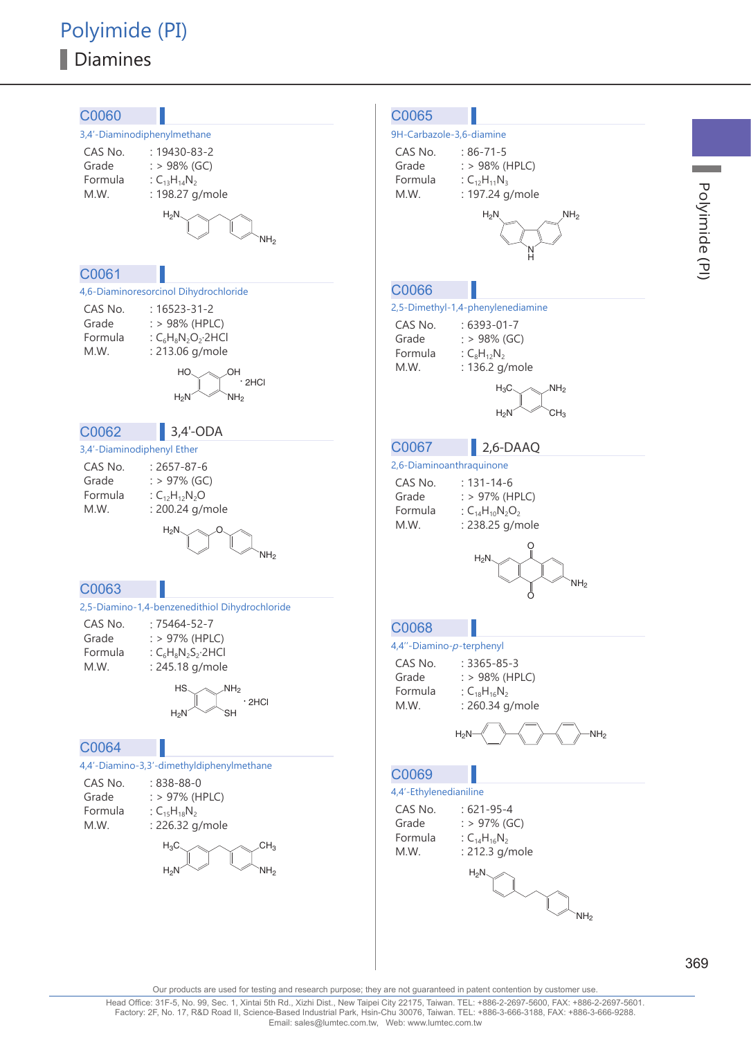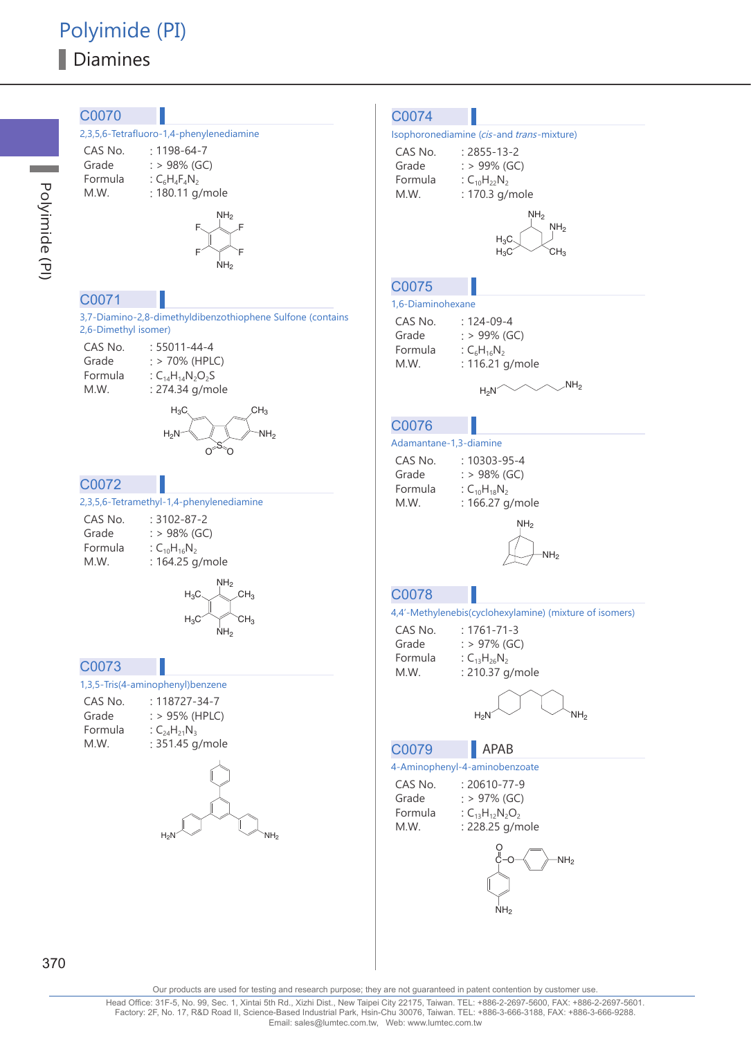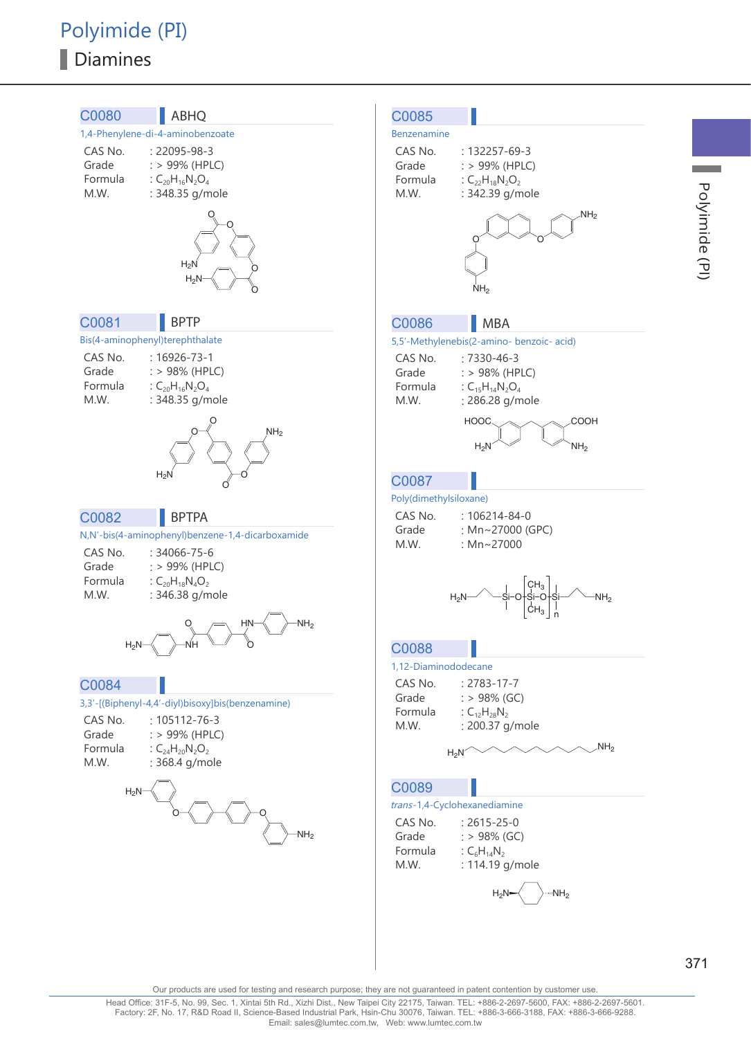## Polyimide (PI) Diamines



371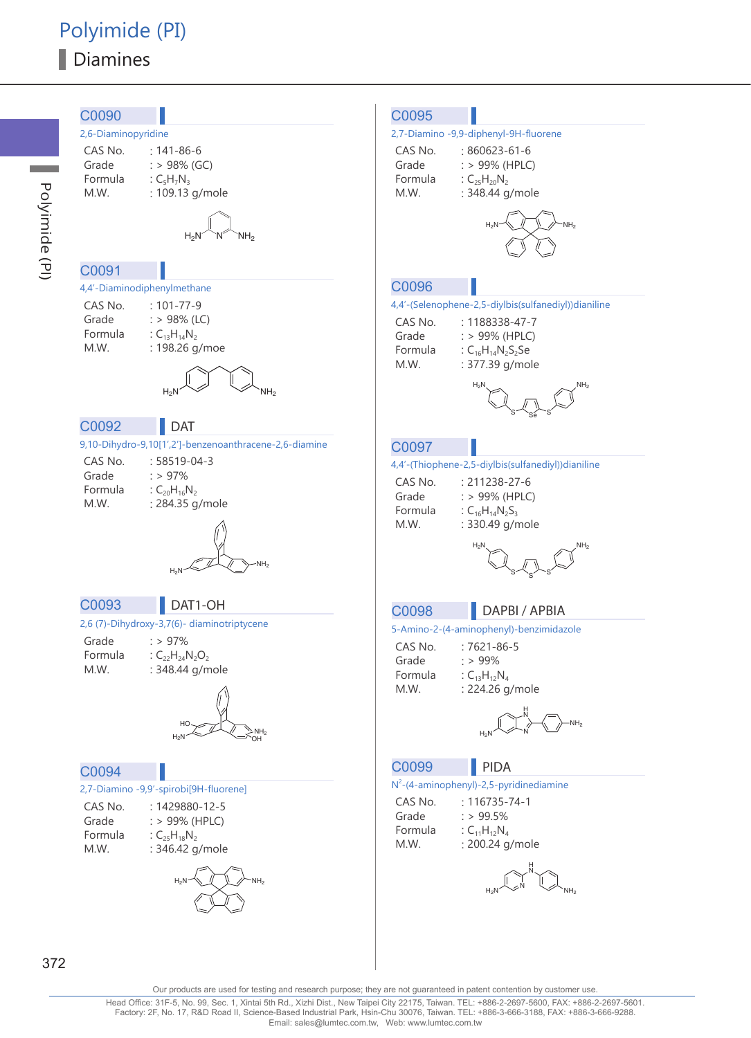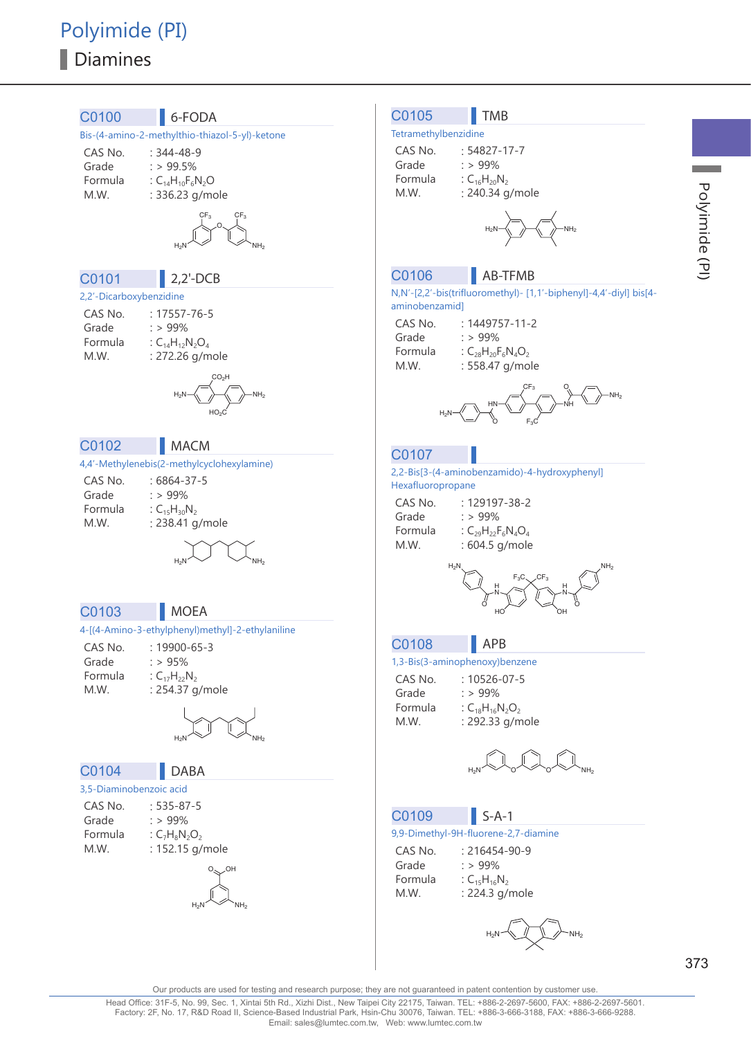## Polyimide (PI) Diamines

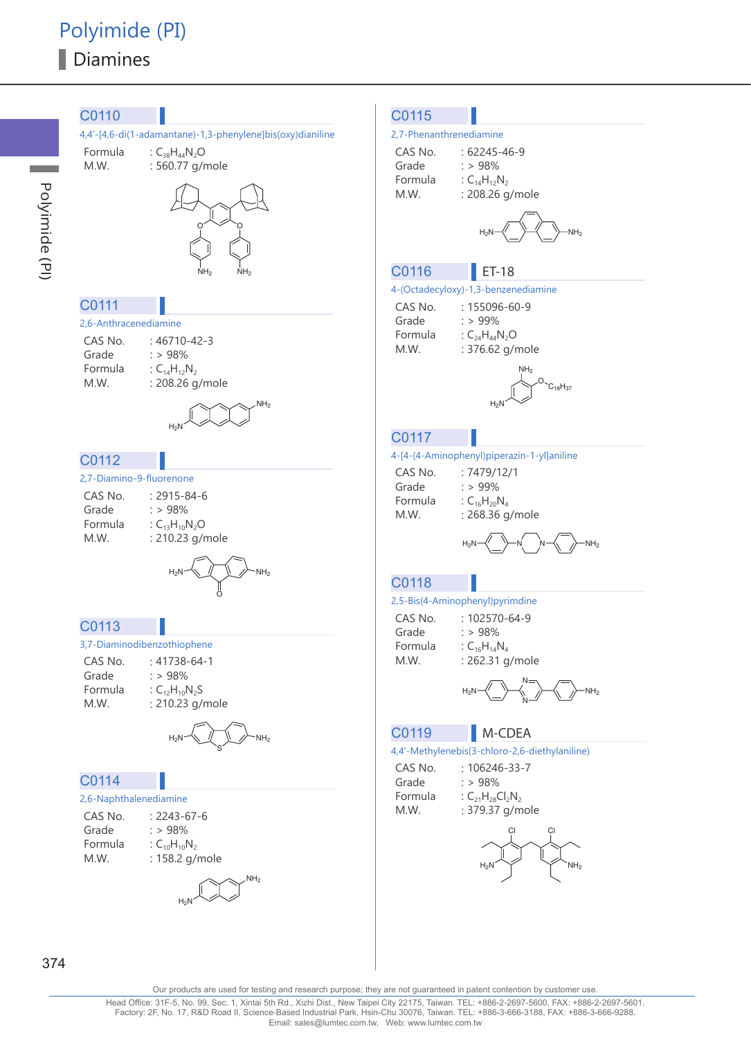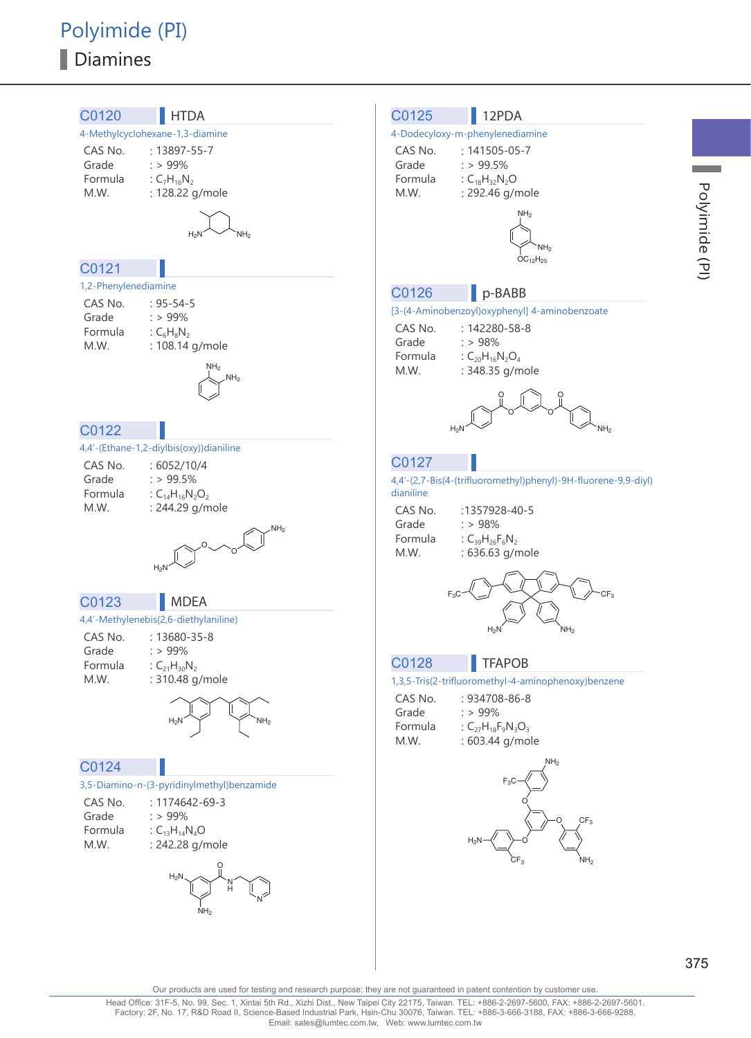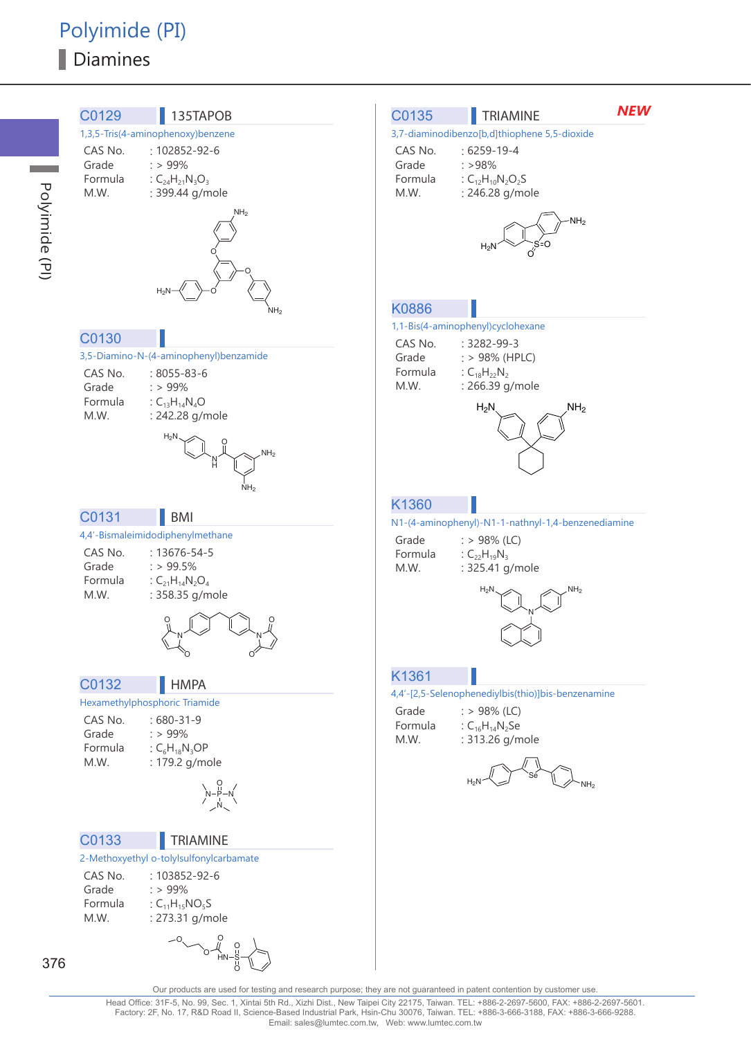Polyimide (PI)

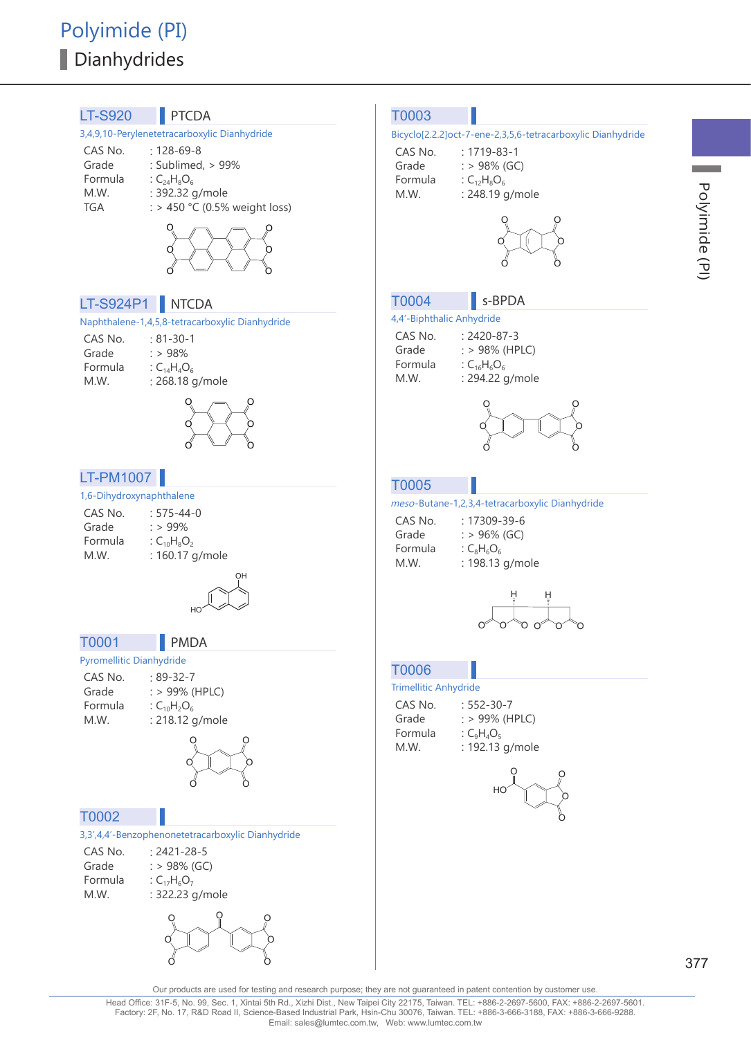

**Contract**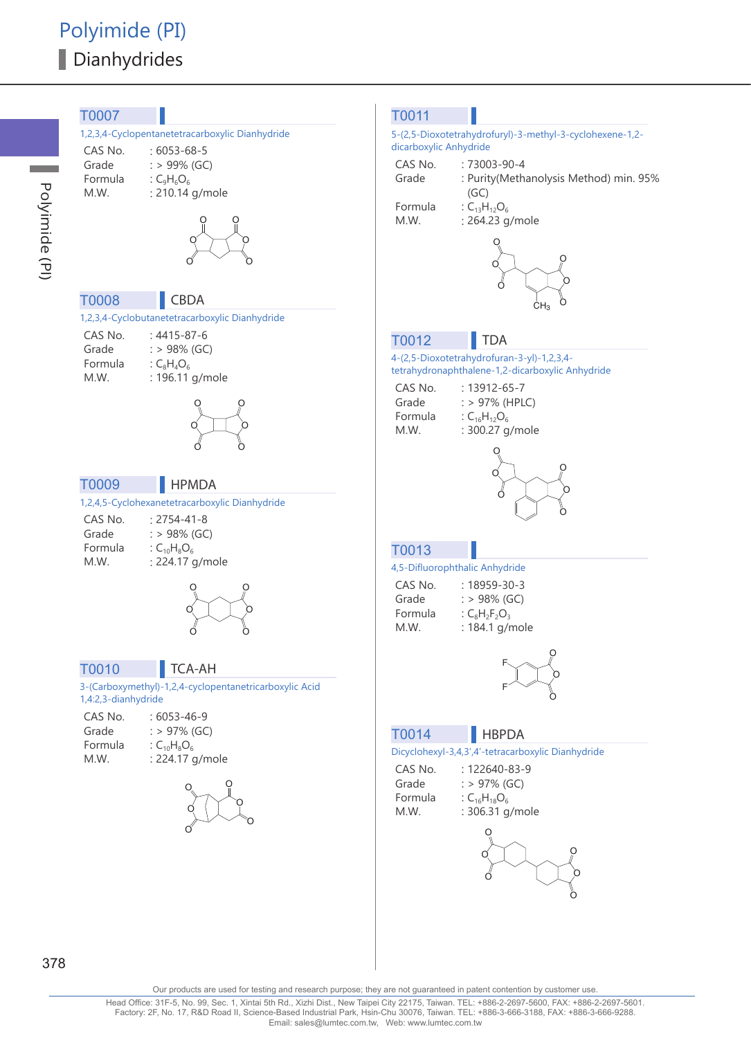

a a s

378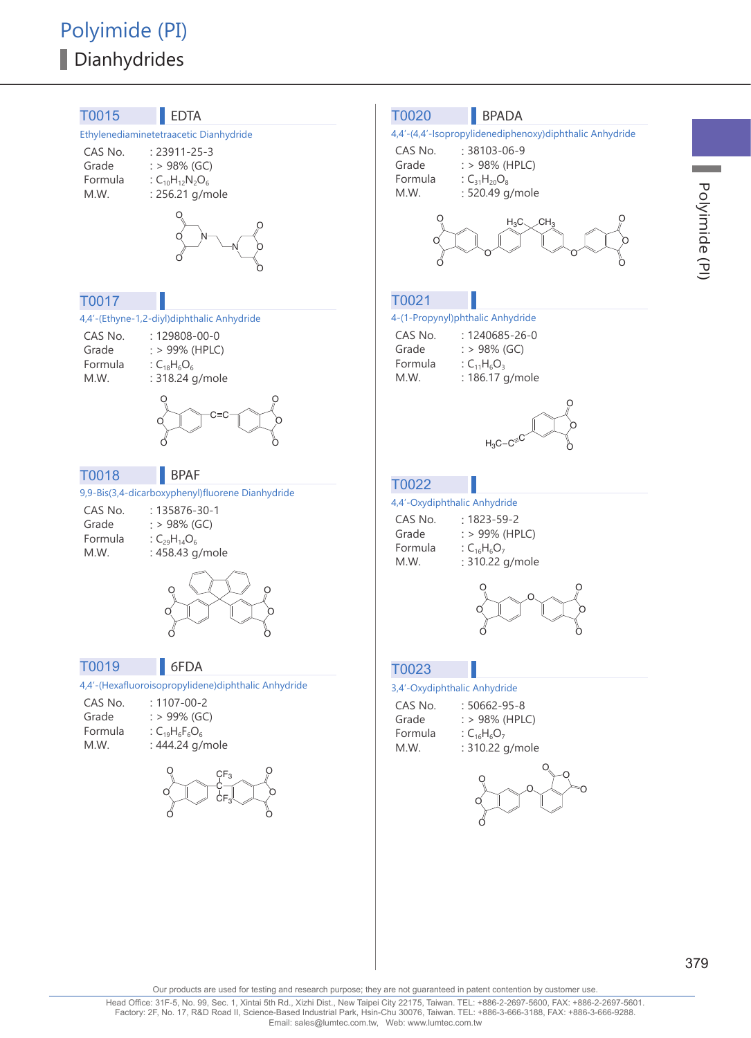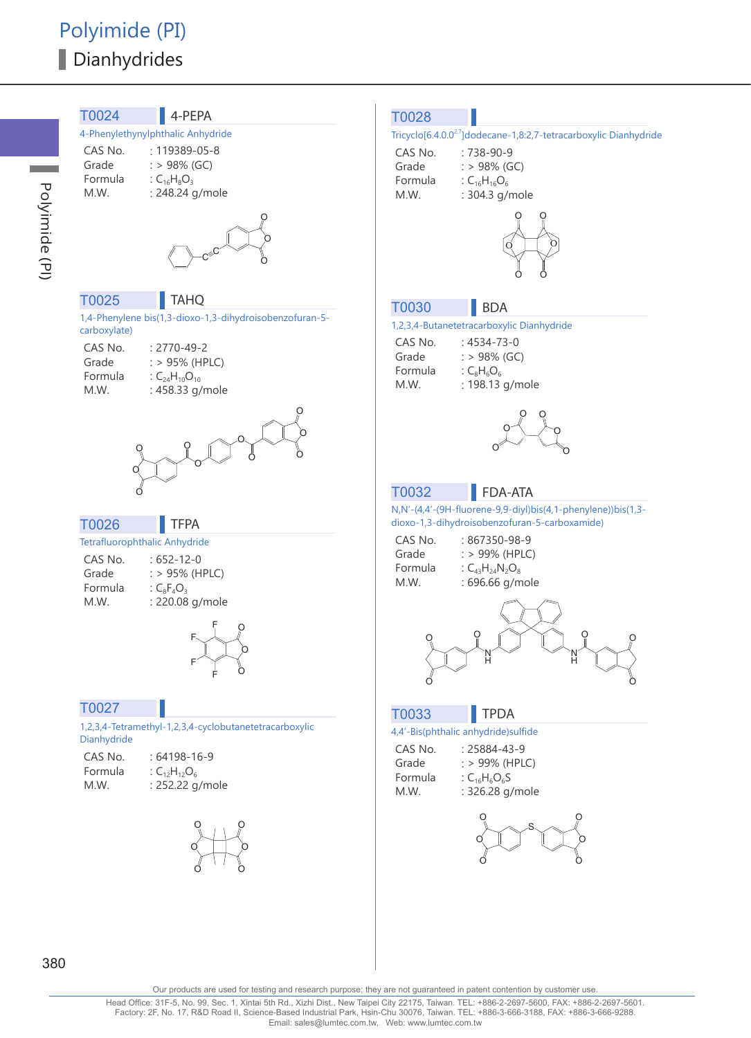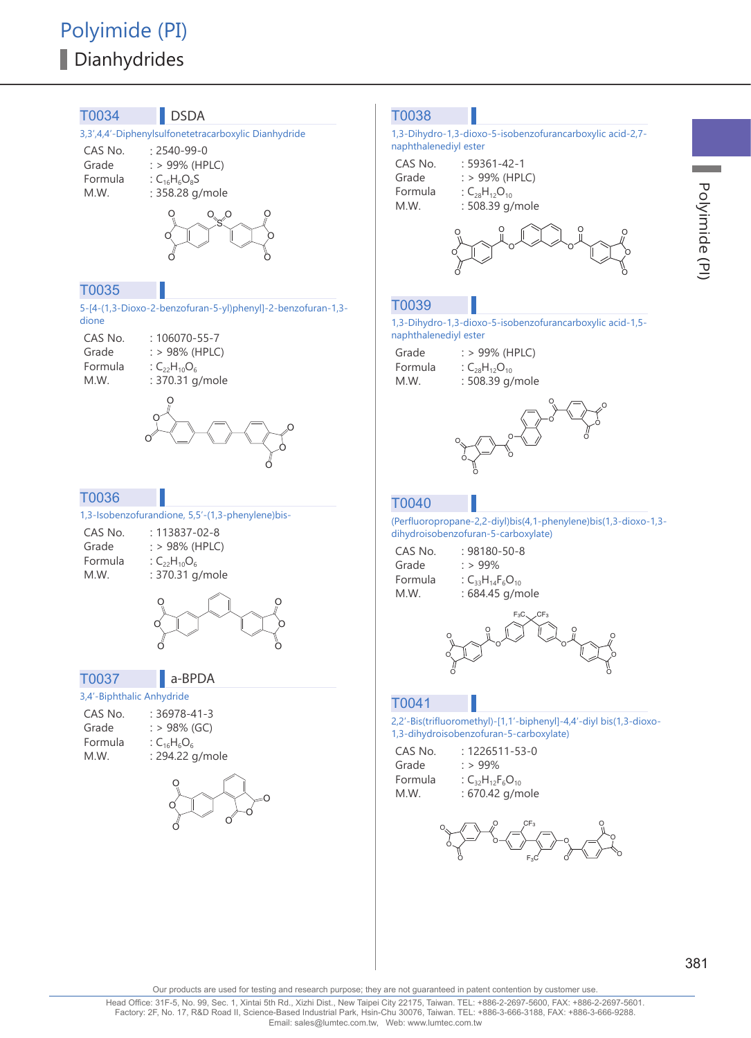

381<br>Polyinide (PI)

**Contract** 

Polyimide (PI)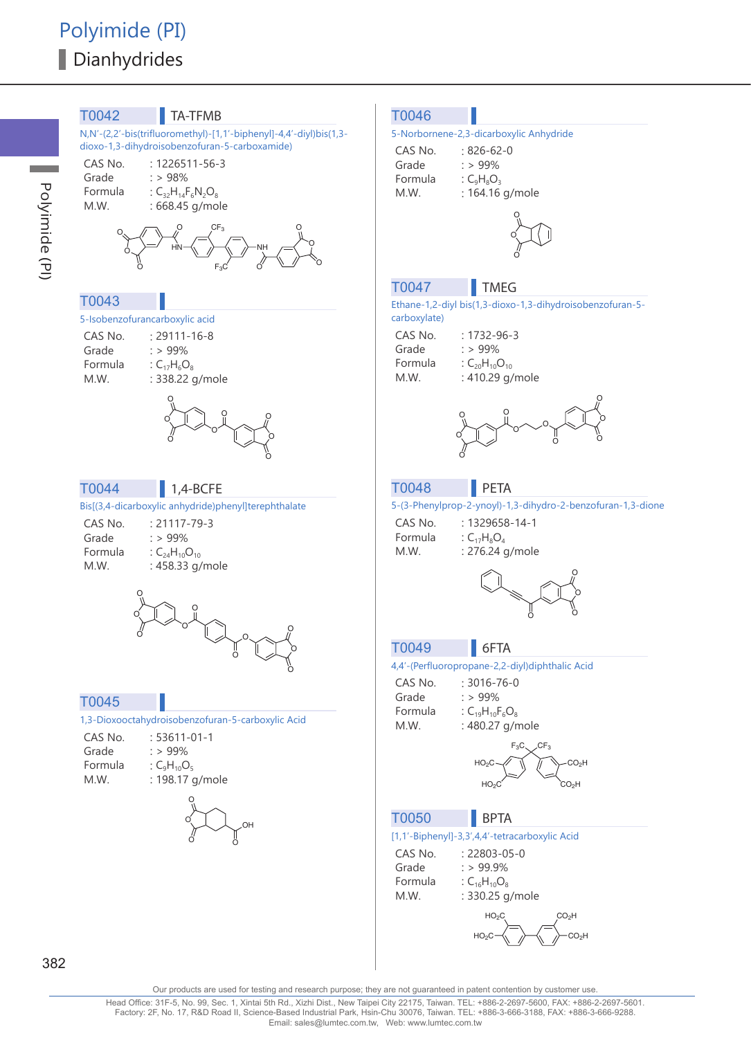